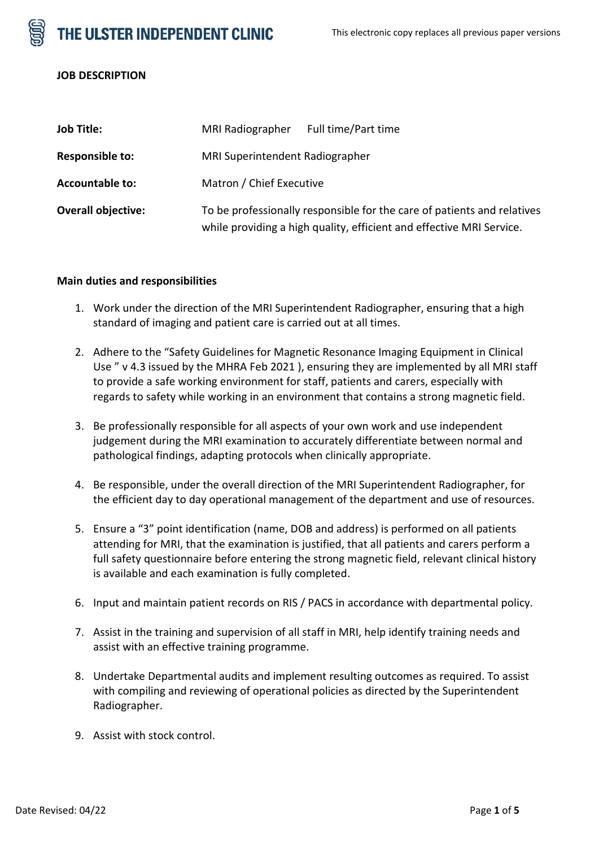THE ULSTER INDEPENDENT CLINIC



#### **JOB DESCRIPTION**

| <b>Job Title:</b>         | MRI Radiographer                                                                                                                                | Full time/Part time |  |
|---------------------------|-------------------------------------------------------------------------------------------------------------------------------------------------|---------------------|--|
| <b>Responsible to:</b>    | MRI Superintendent Radiographer                                                                                                                 |                     |  |
| <b>Accountable to:</b>    | Matron / Chief Executive                                                                                                                        |                     |  |
| <b>Overall objective:</b> | To be professionally responsible for the care of patients and relatives<br>while providing a high quality, efficient and effective MRI Service. |                     |  |

### **Main duties and responsibilities**

- 1. Work under the direction of the MRI Superintendent Radiographer, ensuring that a high standard of imaging and patient care is carried out at all times.
- 2. Adhere to the "Safety Guidelines for Magnetic Resonance Imaging Equipment in Clinical Use " v 4.3 issued by the MHRA Feb 2021 ), ensuring they are implemented by all MRI staff to provide a safe working environment for staff, patients and carers, especially with regards to safety while working in an environment that contains a strong magnetic field.
- 3. Be professionally responsible for all aspects of your own work and use independent judgement during the MRI examination to accurately differentiate between normal and pathological findings, adapting protocols when clinically appropriate.
- 4. Be responsible, under the overall direction of the MRI Superintendent Radiographer, for the efficient day to day operational management of the department and use of resources.
- 5. Ensure a "3" point identification (name, DOB and address) is performed on all patients attending for MRI, that the examination is justified, that all patients and carers perform a full safety questionnaire before entering the strong magnetic field, relevant clinical history is available and each examination is fully completed.
- 6. Input and maintain patient records on RIS / PACS in accordance with departmental policy.
- 7. Assist in the training and supervision of all staff in MRI, help identify training needs and assist with an effective training programme.
- 8. Undertake Departmental audits and implement resulting outcomes as required. To assist with compiling and reviewing of operational policies as directed by the Superintendent Radiographer.
- 9. Assist with stock control.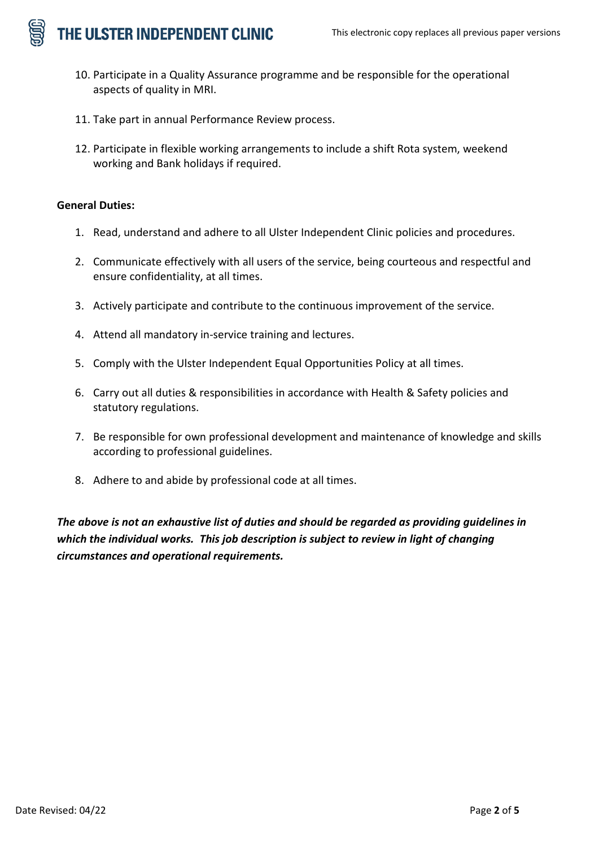THE ULSTER INDEPENDENT CLINIC

- 10. Participate in a Quality Assurance programme and be responsible for the operational aspects of quality in MRI.
- 11. Take part in annual Performance Review process.
- 12. Participate in flexible working arrangements to include a shift Rota system, weekend working and Bank holidays if required.

## **General Duties:**

- 1. Read, understand and adhere to all Ulster Independent Clinic policies and procedures.
- 2. Communicate effectively with all users of the service, being courteous and respectful and ensure confidentiality, at all times.
- 3. Actively participate and contribute to the continuous improvement of the service.
- 4. Attend all mandatory in-service training and lectures.
- 5. Comply with the Ulster Independent Equal Opportunities Policy at all times.
- 6. Carry out all duties & responsibilities in accordance with Health & Safety policies and statutory regulations.
- 7. Be responsible for own professional development and maintenance of knowledge and skills according to professional guidelines.
- 8. Adhere to and abide by professional code at all times.

*The above is not an exhaustive list of duties and should be regarded as providing guidelines in which the individual works. This job description is subject to review in light of changing circumstances and operational requirements.*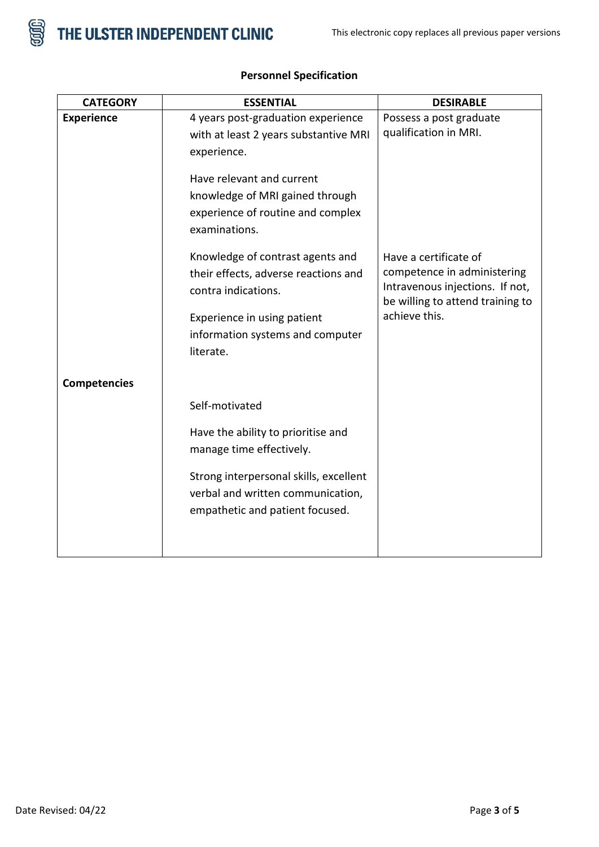

| <b>CATEGORY</b>     | <b>ESSENTIAL</b>                       | <b>DESIRABLE</b>                 |
|---------------------|----------------------------------------|----------------------------------|
| <b>Experience</b>   | 4 years post-graduation experience     | Possess a post graduate          |
|                     | with at least 2 years substantive MRI  | qualification in MRI.            |
|                     | experience.                            |                                  |
|                     | Have relevant and current              |                                  |
|                     |                                        |                                  |
|                     | knowledge of MRI gained through        |                                  |
|                     | experience of routine and complex      |                                  |
|                     | examinations.                          |                                  |
|                     | Knowledge of contrast agents and       | Have a certificate of            |
|                     | their effects, adverse reactions and   | competence in administering      |
|                     | contra indications.                    | Intravenous injections. If not,  |
|                     |                                        | be willing to attend training to |
|                     | Experience in using patient            | achieve this.                    |
|                     | information systems and computer       |                                  |
|                     | literate.                              |                                  |
|                     |                                        |                                  |
| <b>Competencies</b> |                                        |                                  |
|                     | Self-motivated                         |                                  |
|                     | Have the ability to prioritise and     |                                  |
|                     | manage time effectively.               |                                  |
|                     |                                        |                                  |
|                     | Strong interpersonal skills, excellent |                                  |
|                     | verbal and written communication,      |                                  |
|                     | empathetic and patient focused.        |                                  |
|                     |                                        |                                  |
|                     |                                        |                                  |

## **Personnel Specification**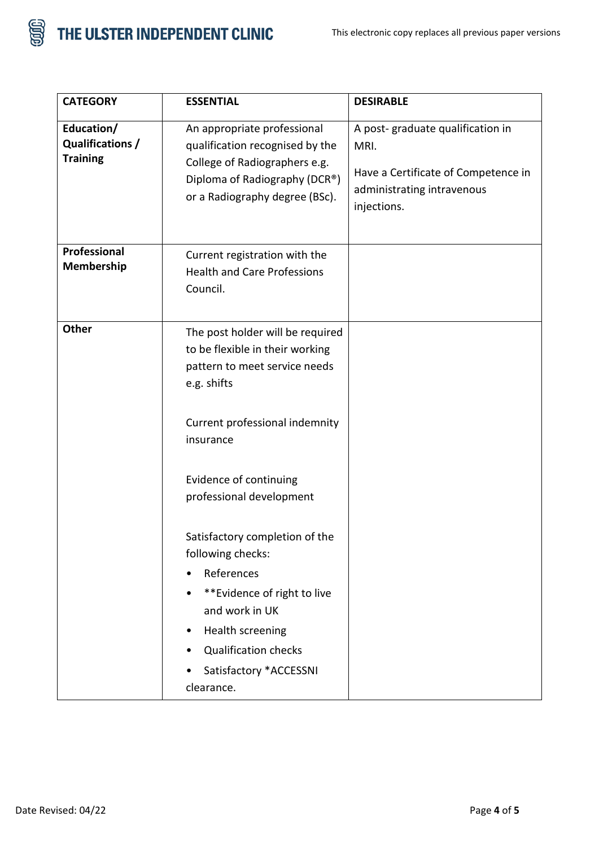



| <b>CATEGORY</b>                                   | <b>ESSENTIAL</b>                                                                                                                                                                                                                                                                                                                                                                                                                          | <b>DESIRABLE</b>                                                                                                             |
|---------------------------------------------------|-------------------------------------------------------------------------------------------------------------------------------------------------------------------------------------------------------------------------------------------------------------------------------------------------------------------------------------------------------------------------------------------------------------------------------------------|------------------------------------------------------------------------------------------------------------------------------|
| Education/<br>Qualifications /<br><b>Training</b> | An appropriate professional<br>qualification recognised by the<br>College of Radiographers e.g.<br>Diploma of Radiography (DCR®)<br>or a Radiography degree (BSc).                                                                                                                                                                                                                                                                        | A post-graduate qualification in<br>MRI.<br>Have a Certificate of Competence in<br>administrating intravenous<br>injections. |
| Professional<br>Membership                        | Current registration with the<br><b>Health and Care Professions</b><br>Council.                                                                                                                                                                                                                                                                                                                                                           |                                                                                                                              |
| Other                                             | The post holder will be required<br>to be flexible in their working<br>pattern to meet service needs<br>e.g. shifts<br>Current professional indemnity<br>insurance<br>Evidence of continuing<br>professional development<br>Satisfactory completion of the<br>following checks:<br>References<br>**Evidence of right to live<br>and work in UK<br>Health screening<br><b>Qualification checks</b><br>Satisfactory *ACCESSNI<br>clearance. |                                                                                                                              |